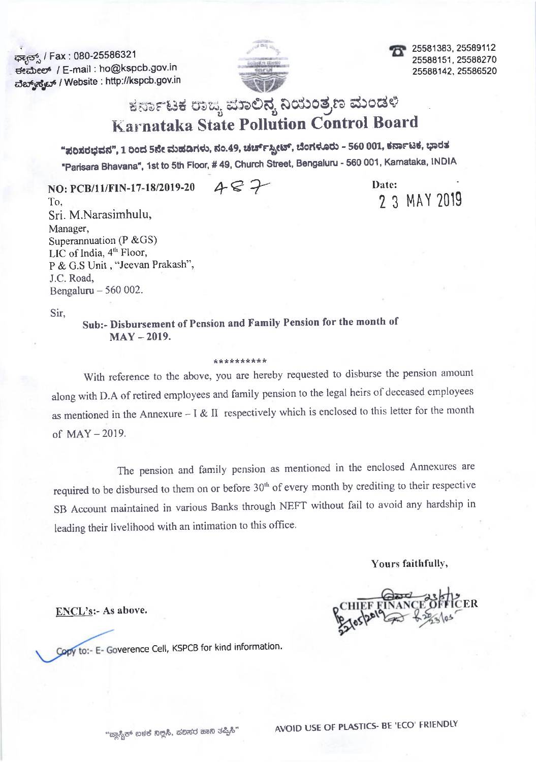ಘ್ಯಾನ್ಸ್ / Fax: 080-25586321 seabees / E-mail : ho@kspcb.gov.in ವೆಬ್ರ್ಯ್ಮ್ / Website : http://kspcb.gov.in



25581383, 25589112 25588151.25588270 25588142.25586520

# ಕರ್ನಾಟಕ ರಾಜ್ಯ ಮಾಲಿನ್ಯ ನಿಯಂತ್ರಣ ಮಂಡಳಿ **Karnataka State Pollution Control Board**

"ಸರಿಸರಭವನ", 1 ರಿಂದ 5ನೇ ಮಹಡಿಗಳು, ನಂ.49, ಚರ್ಚ್ಸ್ಕ್ರೀಟ್, ಬೆಂಗಳೂರು – 560 001, ಕರ್ನಾಟಕ, ಭಾರತ

"Parisara Bhavana", 1st to 5th Floor, #49, Church Street, Bengaluru - 560 001, Karnataka, INDIA

 $487$ NO: PCB/11/FIN-17-18/2019-20

Date: 2 3 MAY 2019

To. Sri. M.Narasimhulu, Manager, Superannuation ( $P & G(S)$ ) LIC of India, 4<sup>th</sup> Floor, P & G.S Unit , "Jeevan Prakash". J.C. Road, Bengaluru  $-560002$ .

Sir.

Sub:- Disbursement of Pension and Family Pension for the month of  $MAY - 2019.$ 

#### \*\*\*\*\*\*\*\*\*\*

With reference to the above, you are hereby requested to disburse the pension amount along with D.A of retired employees and family pension to the legal heirs of deceased employees as mentioned in the Annexure –  $I \& II$  respectively which is enclosed to this letter for the month of  $MAY - 2019$ .

The pension and family pension as mentioned in the enclosed Annexures are required to be disbursed to them on or before 30<sup>th</sup> of every month by crediting to their respective SB Account maintained in various Banks through NEFT without fail to avoid any hardship in leading their livelihood with an intimation to this office.

Yours faithfully,

ENCL's:- As above.

Copy to:- E- Goverence Cell, KSPCB for kind information.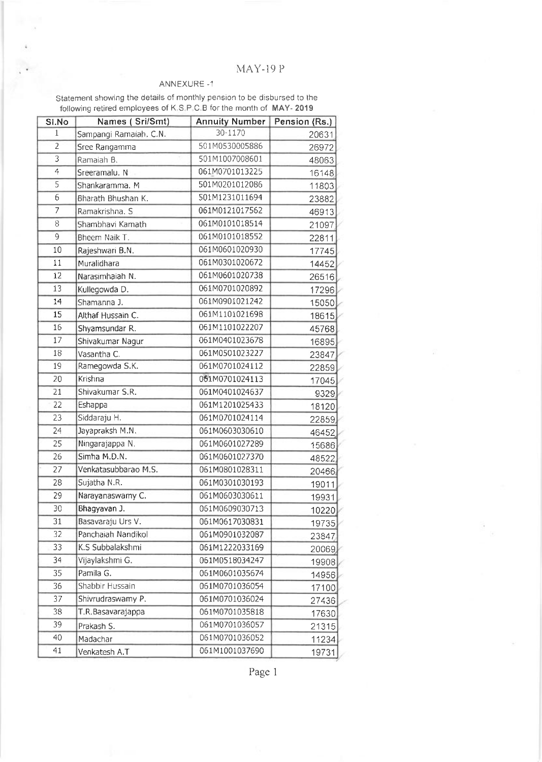## MAY-19 P

## ANNEXURE-1

Statement showing the details of monthly pension to be disbursed to the following retired employees of K,S,P,C,B for the month of MAY- 2019

| SI.No           | Names (Sri/Smt)        | <b>Annuity Number</b> | Pension (Rs.)  |  |
|-----------------|------------------------|-----------------------|----------------|--|
| 1               | Sampangi Ramaiah. C.N. | 30-1170               | 20631          |  |
| $\overline{2}$  | Sree Rangamma          | 501M0530005886        | 26972          |  |
| 3               | Ramaiah B.             | 501M1007008601        | 48063          |  |
| 4               | Sreeramalu. N          | 061M0701013225        | 16148          |  |
| $\overline{5}$  | Shankaramma. M         | 501M0201012086        | 11803          |  |
| 6               | Bharath Bhushan K.     | 501M1231011694        | 23882          |  |
| 7               | Ramakrishna, S         | 061M0121017562        | 46913          |  |
| 8               | Shambhavi Kamath       | 061M0101018514        | 21097          |  |
| 9               | Bheem Naik T.          | 061M0101018552        | 22811          |  |
| 10              | Rajeshwari B.N.        | 061M0601020930        | 17745          |  |
| 11              | Muralidhara            | 061M0301020672        | 14452          |  |
| 12              | Narasimhaiah N.        | 061M0601020738        | 26516          |  |
| 13              | Kullegowda D.          | 061M0701020892        | 17296          |  |
| 14              | Shamanna J.            | 061M0901021242        | 15050          |  |
| 15              | Althaf Hussain C.      | 061M1101021698        | 18615          |  |
| 16              | Shyamsundar R.         | 061M1101022207        | 45768          |  |
| 17              | Shivakumar Nagur       | 061M0401023678        | 16895          |  |
| 18              | Vasantha C.            | 061M0501023227        | 23847          |  |
| 19              | Ramegowda S.K.         | 061M0701024112        | 22859          |  |
| 20              | Krishna                | 061M0701024113        | 17045          |  |
| 21              | Shivakumar S.R.        | 061M0401024637        | 9329           |  |
| 22              | Eshappa                | 061M1201025433        | 18120          |  |
| 23              | Siddaraju H.           | 061M0701024114        | 22859          |  |
| 24              | Jayapraksh M.N.        | 061M0603030610        | 46452          |  |
| 25              | Ningarajappa N.        | 061M0601027289        | 15686          |  |
| 26              | Simha M.D.N.           | 061M0601027370        | 48522          |  |
| 27              | Venkatasubbarao M.S.   | 061M0801028311        | 20466          |  |
| 28              | Sujatha N.R.           | 061M0301030193        | 19011          |  |
| 29              | Narayanaswamy C.       | 061M0603030611        | 19931          |  |
| 30              | Bhagyavan J.           | 061M0609030713        | 10220          |  |
| $\overline{31}$ | Basavaraju Urs V.      | 061M0617030831        | 19735          |  |
| 32              | Panchaiah Nandikol     | 061M0901032087        | 23847          |  |
| 33              | K.S Subbalakshmi       | 061M1222033169        | 20069          |  |
| 34              | Vijaylakshmi G.        | 061M0518034247        | 19908          |  |
| 35              | Pamila G.              | 061M0601035674        |                |  |
| 36              | Shabbir Hussain        | 061M0701036054        | 14956          |  |
| 37              | Shivrudraswamy P.      | 061M0701036024        | 17100<br>27436 |  |
| 38              | T.R.Basavarajappa      | 061M0701035818        |                |  |
| 39              |                        | 061M0701036057        | 17630          |  |
| 40              | Prakash S.             | 061M0701036052        | 21315          |  |
| 41              | Madachar               | 061M1001037690        | 11234          |  |
|                 | Venkatesh A.T          |                       | 19731          |  |

Page 1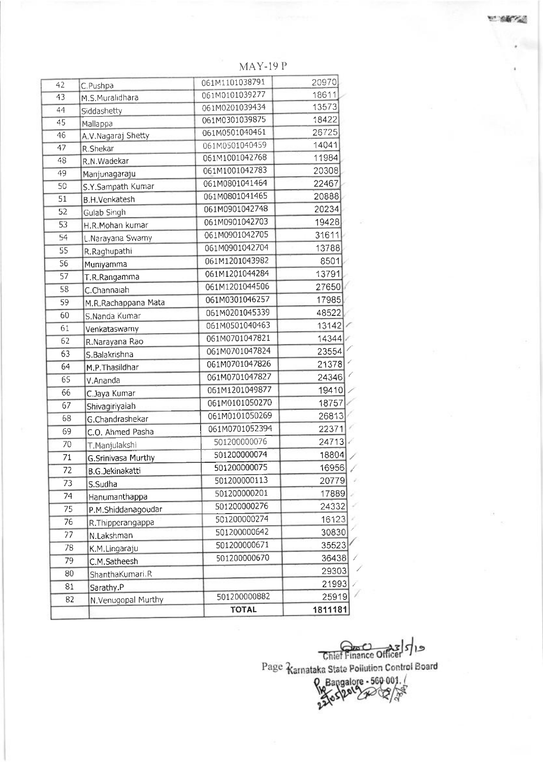| 42              | C.Pushpa                                   | 061M1101038791        | 20970          |  |
|-----------------|--------------------------------------------|-----------------------|----------------|--|
| 43              | M.S.Muralidhara                            | 061M0101039277        | 18611<br>13573 |  |
| 44              | Siddashetty                                | 061M0201039434        |                |  |
| 45              | Mallappa                                   | 061M0301039875        | 18422          |  |
| 46              | A.V.Nagaraj Shetty                         | 061M0501040461        | 26725          |  |
| 47              | R.Shekar                                   | 061M0501040459        | 14041          |  |
| 48              | R.N.Wadekar                                | 061M1001042768        | 11984          |  |
| 49              | Manjunagaraju                              | 061M1001042783        | 20308<br>22467 |  |
| 50              | S.Y.Sampath Kumar                          | 061M0801041464        |                |  |
| 51              | <b>B.H.Venkatesh</b>                       | 061M0801041465        | 20888          |  |
| 52              | Gulab Singh                                | 061M0901042748        | 20234          |  |
| $\overline{53}$ | H.R.Mohan kumar                            | 061M0901042703        | 19428          |  |
| 54              | L.Narayana Swamy                           | 061M0901042705        | 31611          |  |
| 55              | R.Raghupathi                               | 061M0901042704        | 13788          |  |
| 56              | Muniyamma                                  | 061M1201043982        | 8501           |  |
| 57              | T.R.Rangamma                               | 061M1201044284        | 13791          |  |
| 58              | C.Channaiah                                | 061M1201044506        | 27650          |  |
| 59              | M.R.Rachappana Mata                        | 061M0301046257        | 17985          |  |
| 60              | S.Nanda Kumar                              | 061M0201045339        | 48522          |  |
| 61              | Venkataswamy                               | 061M0501040463        | 13142          |  |
| 62              | R.Narayana Rao                             | 061M0701047821        | 14344          |  |
| 63              | S.Balakrishna                              | 061M0701047824        | 23554          |  |
| 64              | M.P.Thasildhar                             | 061M0701047826        | 21378          |  |
| 65              | V.Ananda                                   | 061M0701047827        | 24346          |  |
| 66              | C.Jaya Kumar                               | 061M1201049877        | 19410          |  |
| 67              | Shivagiriyaiah                             | 061M0101050270        | 18757          |  |
| 68              | G.Chandrashekar                            | 061M0101050269        | 26813          |  |
| 69              | C.O. Ahmed Pasha                           | 061M0701052394        | 22371          |  |
| 70              |                                            | 501200000076<br>24713 |                |  |
| 71              | T.Manjulakshi<br><b>G.Srinivasa Murthy</b> | 501200000074          | 18804          |  |
| 72              | <b>B.G.Jekinakatti</b>                     | 501200000075          | 16956          |  |
| 73              | S.Sudha                                    | 501200000113          | 20779          |  |
| 74              |                                            | 501200000201          | 17889          |  |
|                 | Hanumanthappa                              | 501200000276          | 24332          |  |
| 75              | P.M.Shiddanagoudar                         | 501200000274          | 16123          |  |
| 76              | R. Thipperangappa                          | 501200000642          | 30830          |  |
| 77              | N.Lakshman                                 | 501200000671          | 35523          |  |
| 78              | K.M.Lingaraju                              | 501200000670          |                |  |
| 79              | C.M.Satheesh                               |                       | 36438          |  |
| 80              | ShanthaKumari R                            |                       | 29303          |  |
| 81              | Sarathy.P                                  |                       | 21993          |  |
| 82              | N.Venugopal Murthy                         | 501200000882          | 25919          |  |
|                 |                                            | <b>TOTAL</b>          | 1811181        |  |

 $MAY-19P$ 

Chief Finance Officer 5/19

Page Ramataka State Pollution Control Board

Pangalore - 560 001.